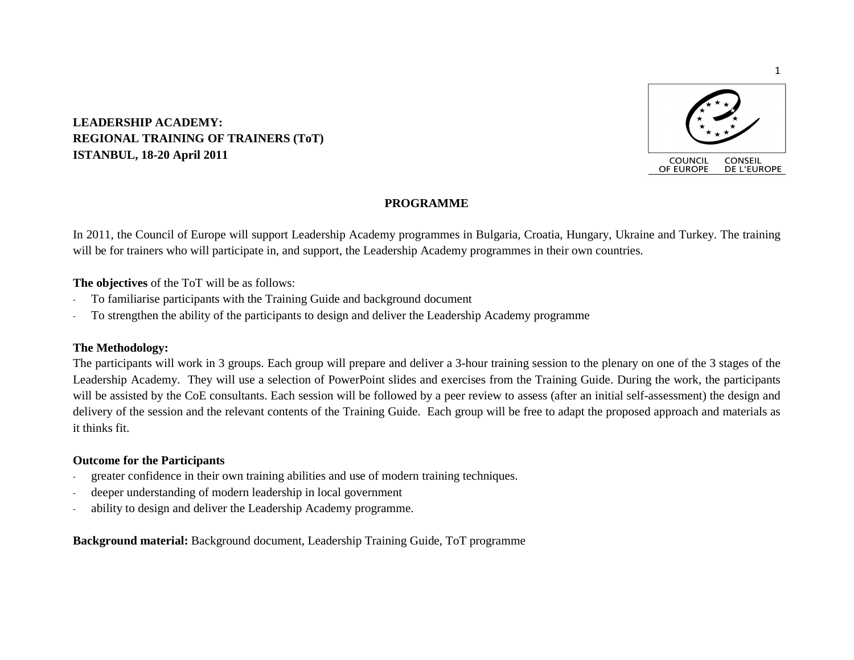

### **LEADERSHIP ACADEMY: REGIONAL TRAINING OF TRAINERS (ToT) ISTANBUL, 18-20 April 2011**

### **PROGRAMME**

In 2011, the Council of Europe will support Leadership Academy programmes in Bulgaria, Croatia, Hungary, Ukraine and Turkey. The training will be for trainers who will participate in, and support, the Leadership Academy programmes in their own countries.

**The objectives** of the ToT will be as follows:

- To familiarise participants with the Training Guide and background document
- To strengthen the ability of the participants to design and deliver the Leadership Academy programme

#### **The Methodology:**

The participants will work in 3 groups. Each group will prepare and deliver a 3-hour training session to the plenary on one of the 3 stages of the Leadership Academy. They will use a selection of PowerPoint slides and exercises from the Training Guide. During the work, the participants will be assisted by the CoE consultants. Each session will be followed by a peer review to assess (after an initial self-assessment) the design and delivery of the session and the relevant contents of the Training Guide. Each group will be free to adapt the proposed approach and materials as it thinks fit.

#### **Outcome for the Participants**

- greater confidence in their own training abilities and use of modern training techniques.
- deeper understanding of modern leadership in local government
- ability to design and deliver the Leadership Academy programme.

**Background material:** Background document, Leadership Training Guide, ToT programme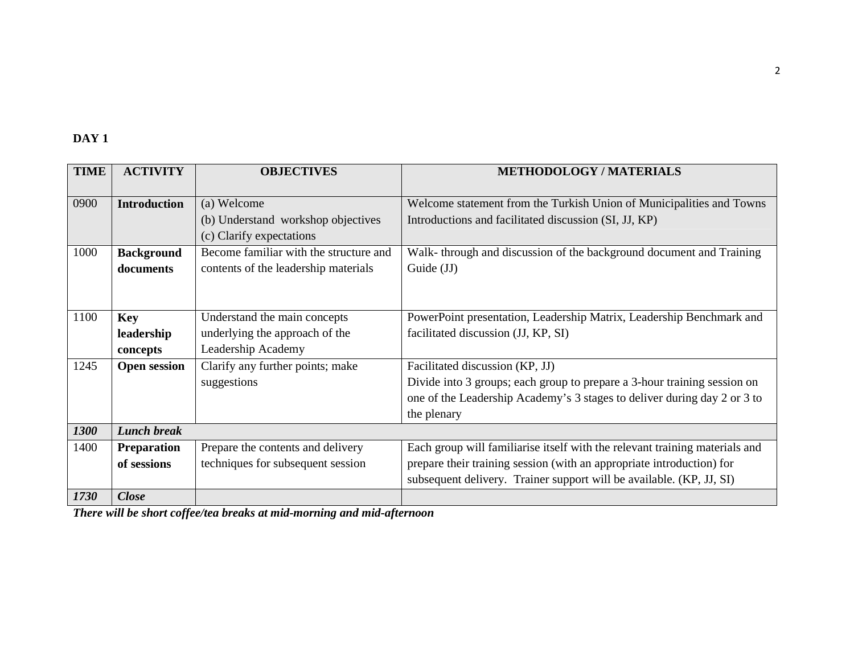### **DAY 1**

| <b>TIME</b> | <b>ACTIVITY</b>        | <b>OBJECTIVES</b>                                    | <b>METHODOLOGY / MATERIALS</b>                                              |
|-------------|------------------------|------------------------------------------------------|-----------------------------------------------------------------------------|
| 0900        | <b>Introduction</b>    | (a) Welcome                                          | Welcome statement from the Turkish Union of Municipalities and Towns        |
|             |                        | (b) Understand workshop objectives                   | Introductions and facilitated discussion (SI, JJ, KP)                       |
|             |                        | (c) Clarify expectations                             |                                                                             |
| 1000        | <b>Background</b>      | Become familiar with the structure and               | Walk-through and discussion of the background document and Training         |
|             | documents              | contents of the leadership materials                 | Guide (JJ)                                                                  |
|             |                        |                                                      |                                                                             |
| 1100        | <b>Key</b>             | Understand the main concepts                         | PowerPoint presentation, Leadership Matrix, Leadership Benchmark and        |
|             |                        |                                                      | facilitated discussion (JJ, KP, SI)                                         |
|             | leadership<br>concepts | underlying the approach of the<br>Leadership Academy |                                                                             |
|             |                        |                                                      |                                                                             |
| 1245        | <b>Open session</b>    | Clarify any further points; make                     | Facilitated discussion (KP, JJ)                                             |
|             |                        | suggestions                                          | Divide into 3 groups; each group to prepare a 3-hour training session on    |
|             |                        |                                                      | one of the Leadership Academy's 3 stages to deliver during day 2 or 3 to    |
|             |                        |                                                      | the plenary                                                                 |
| 1300        | <b>Lunch break</b>     |                                                      |                                                                             |
| 1400        | <b>Preparation</b>     | Prepare the contents and delivery                    | Each group will familiarise itself with the relevant training materials and |
|             | of sessions            | techniques for subsequent session                    | prepare their training session (with an appropriate introduction) for       |
|             |                        |                                                      | subsequent delivery. Trainer support will be available. (KP, JJ, SI)        |
| 1730        | <b>Close</b>           |                                                      |                                                                             |

*There will be short coffee/tea breaks at mid-morning and mid-afternoon*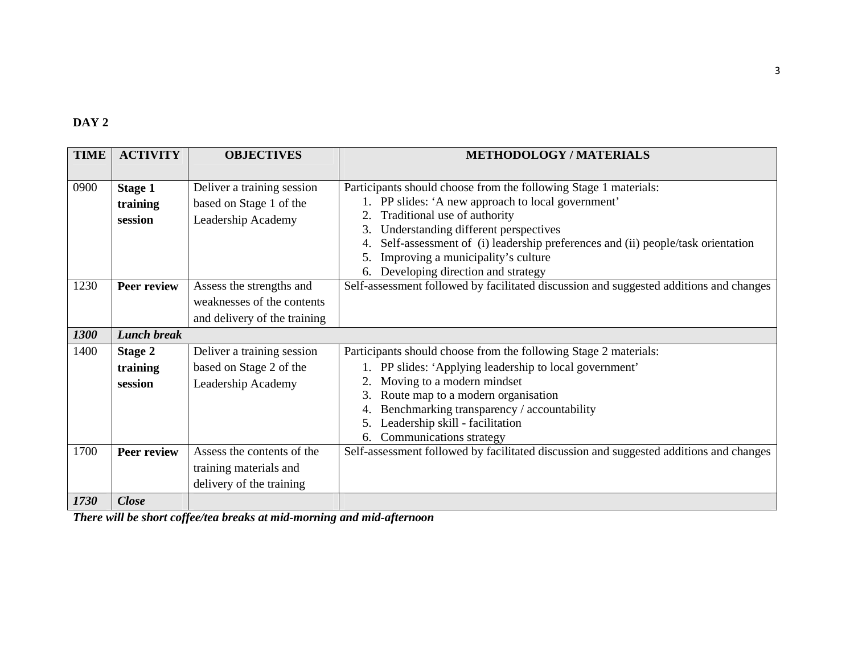# **DAY 2**

| <b>TIME</b> | <b>ACTIVITY</b>                       | <b>OBJECTIVES</b>                                                                      | <b>METHODOLOGY/MATERIALS</b>                                                                                                                                                                                                                                                                                                                                                        |
|-------------|---------------------------------------|----------------------------------------------------------------------------------------|-------------------------------------------------------------------------------------------------------------------------------------------------------------------------------------------------------------------------------------------------------------------------------------------------------------------------------------------------------------------------------------|
| 0900        | <b>Stage 1</b><br>training<br>session | Deliver a training session<br>based on Stage 1 of the<br>Leadership Academy            | Participants should choose from the following Stage 1 materials:<br>1. PP slides: 'A new approach to local government'<br>Traditional use of authority<br>2.<br>Understanding different perspectives<br>3.<br>Self-assessment of (i) leadership preferences and (ii) people/task orientation<br>Improving a municipality's culture<br>5.<br>Developing direction and strategy<br>6. |
| 1230        | <b>Peer review</b>                    | Assess the strengths and<br>weaknesses of the contents<br>and delivery of the training | Self-assessment followed by facilitated discussion and suggested additions and changes                                                                                                                                                                                                                                                                                              |
| 1300        | <b>Lunch break</b>                    |                                                                                        |                                                                                                                                                                                                                                                                                                                                                                                     |
| 1400        | <b>Stage 2</b>                        | Deliver a training session                                                             | Participants should choose from the following Stage 2 materials:                                                                                                                                                                                                                                                                                                                    |
|             | training<br>session                   | based on Stage 2 of the<br>Leadership Academy                                          | 1. PP slides: 'Applying leadership to local government'<br>Moving to a modern mindset<br>2.<br>Route map to a modern organisation<br>3.<br>Benchmarking transparency / accountability<br>Leadership skill - facilitation<br>5.<br>Communications strategy<br>6.                                                                                                                     |
| 1700        | Peer review                           | Assess the contents of the<br>training materials and<br>delivery of the training       | Self-assessment followed by facilitated discussion and suggested additions and changes                                                                                                                                                                                                                                                                                              |
| 1730        | <b>Close</b>                          |                                                                                        |                                                                                                                                                                                                                                                                                                                                                                                     |

*There will be short coffee/tea breaks at mid-morning and mid-afternoon*